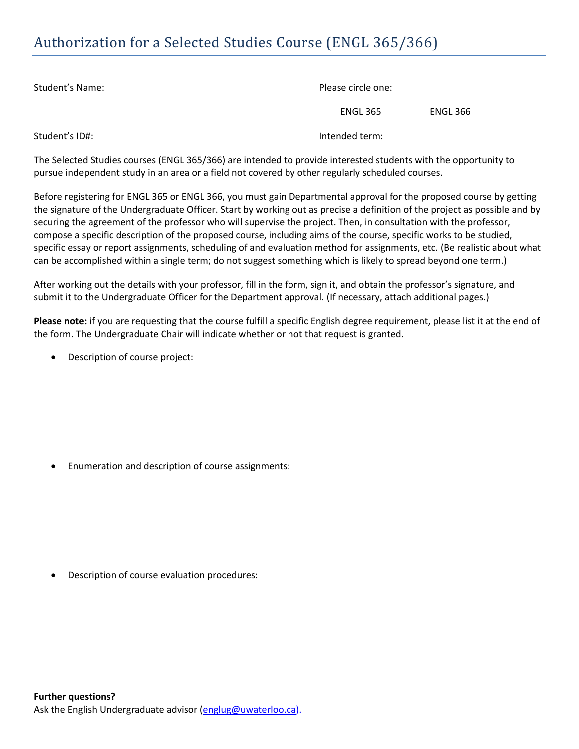## Authorization for a Selected Studies Course (ENGL 365/366)

| Student's Name: | Please circle one: |          |  |
|-----------------|--------------------|----------|--|
|                 | <b>ENGL 365</b>    | ENGL 366 |  |
| Student's ID#:  | Intended term:     |          |  |

The Selected Studies courses (ENGL 365/366) are intended to provide interested students with the opportunity to pursue independent study in an area or a field not covered by other regularly scheduled courses.

Before registering for ENGL 365 or ENGL 366, you must gain Departmental approval for the proposed course by getting the signature of the Undergraduate Officer. Start by working out as precise a definition of the project as possible and by securing the agreement of the professor who will supervise the project. Then, in consultation with the professor, compose a specific description of the proposed course, including aims of the course, specific works to be studied, specific essay or report assignments, scheduling of and evaluation method for assignments, etc. (Be realistic about what can be accomplished within a single term; do not suggest something which is likely to spread beyond one term.)

After working out the details with your professor, fill in the form, sign it, and obtain the professor's signature, and submit it to the Undergraduate Officer for the Department approval. (If necessary, attach additional pages.)

**Please note:** if you are requesting that the course fulfill a specific English degree requirement, please list it at the end of the form. The Undergraduate Chair will indicate whether or not that request is granted.

Description of course project:

Enumeration and description of course assignments:

Description of course evaluation procedures: